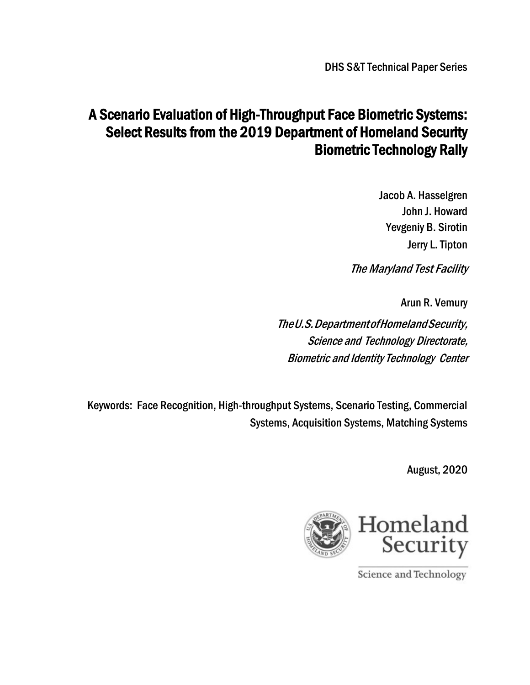DHS S&T Technical Paper Series

# A Scenario Evaluation of High-Throughput Face Biometric Systems: Select Results from the 2019 Department of Homeland Security Biometric Technology Rally

Jacob A. Hasselgren John J. Howard Yevgeniy B. Sirotin Jerry L. Tipton

The Maryland Test Facility

Arun R. Vemury

TheU.S. Department ofHomeland Security, Science and Technology Directorate, Biometric and Identity Technology Center

Keywords: Face Recognition, High-throughput Systems, Scenario Testing, Commercial Systems, Acquisition Systems, Matching Systems

August, 2020



Science and Technology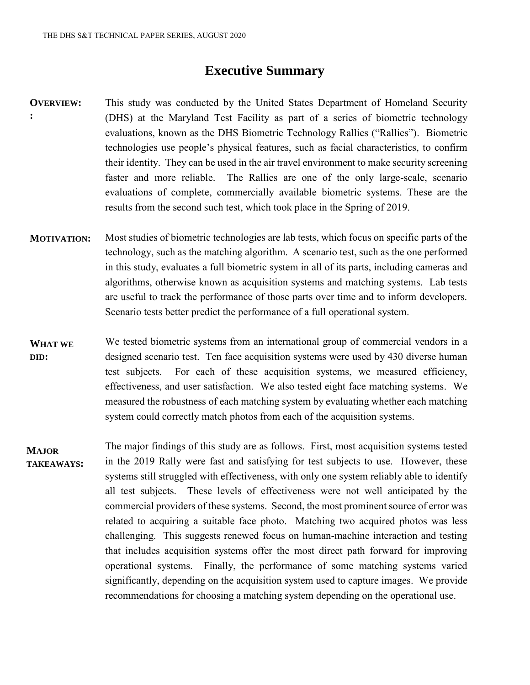## **Executive Summary**

- **OVERVIEW: :**  This study was conducted by the United States Department of Homeland Security (DHS) at the Maryland Test Facility as part of a series of biometric technology evaluations, known as the DHS Biometric Technology Rallies ("Rallies"). Biometric technologies use people's physical features, such as facial characteristics, to confirm their identity. They can be used in the air travel environment to make security screening faster and more reliable. The Rallies are one of the only large-scale, scenario evaluations of complete, commercially available biometric systems. These are the results from the second such test, which took place in the Spring of 2019.
- **MOTIVATION:** Most studies of biometric technologies are lab tests, which focus on specific parts of the technology, such as the matching algorithm. A scenario test, such as the one performed in this study, evaluates a full biometric system in all of its parts, including cameras and algorithms, otherwise known as acquisition systems and matching systems. Lab tests are useful to track the performance of those parts over time and to inform developers. Scenario tests better predict the performance of a full operational system.
- **WHAT WE DID:** We tested biometric systems from an international group of commercial vendors in a designed scenario test. Ten face acquisition systems were used by 430 diverse human test subjects. For each of these acquisition systems, we measured efficiency, effectiveness, and user satisfaction. We also tested eight face matching systems. We measured the robustness of each matching system by evaluating whether each matching system could correctly match photos from each of the acquisition systems.
- **MAJOR MAJOR TAKEAWAYS: TAKEAWAYS:** The major findings of this study are as follows. First, most acquisition systems tested in the 2019 Rally were fast and satisfying for test subjects to use. However, these systems still struggled with effectiveness, with only one system reliably able to identify all test subjects. These levels of effectiveness were not well anticipated by the commercial providers of these systems. Second, the most prominent source of error was related to acquiring a suitable face photo. Matching two acquired photos was less challenging. This suggests renewed focus on human-machine interaction and testing that includes acquisition systems offer the most direct path forward for improving operational systems. Finally, the performance of some matching systems varied significantly, depending on the acquisition system used to capture images. We provide recommendations for choosing a matching system depending on the operational use.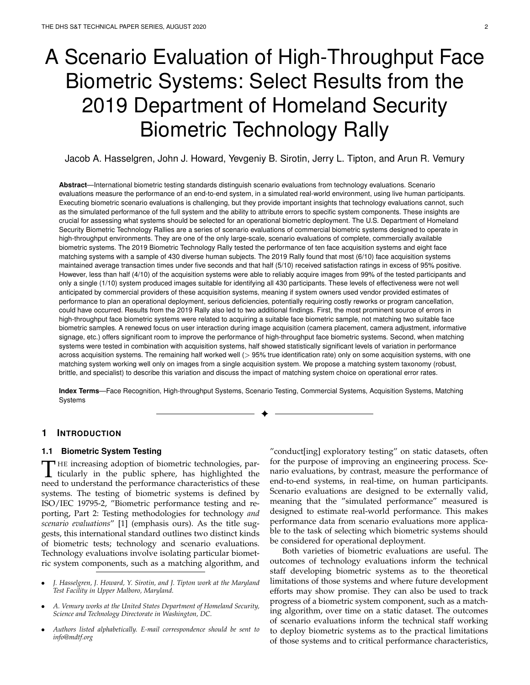# A Scenario Evaluation of High-Throughput Face Biometric Systems: Select Results from the 2019 Department of Homeland Security Biometric Technology Rally

Jacob A. Hasselgren, John J. Howard, Yevgeniy B. Sirotin, Jerry L. Tipton, and Arun R. Vemury

**Abstract**—International biometric testing standards distinguish scenario evaluations from technology evaluations. Scenario evaluations measure the performance of an end-to-end system, in a simulated real-world environment, using live human participants. Executing biometric scenario evaluations is challenging, but they provide important insights that technology evaluations cannot, such as the simulated performance of the full system and the ability to attribute errors to specific system components. These insights are crucial for assessing what systems should be selected for an operational biometric deployment. The U.S. Department of Homeland Security Biometric Technology Rallies are a series of scenario evaluations of commercial biometric systems designed to operate in high-throughput environments. They are one of the only large-scale, scenario evaluations of complete, commercially available biometric systems. The 2019 Biometric Technology Rally tested the performance of ten face acquisition systems and eight face matching systems with a sample of 430 diverse human subjects. The 2019 Rally found that most (6/10) face acquisition systems maintained average transaction times under five seconds and that half (5/10) received satisfaction ratings in excess of 95% positive. However, less than half (4/10) of the acquisition systems were able to reliably acquire images from 99% of the tested participants and only a single (1/10) system produced images suitable for identifying all 430 participants. These levels of effectiveness were not well anticipated by commercial providers of these acquisition systems, meaning if system owners used vendor provided estimates of performance to plan an operational deployment, serious deficiencies, potentially requiring costly reworks or program cancellation, could have occurred. Results from the 2019 Rally also led to two additional fndings. First, the most prominent source of errors in high-throughput face biometric systems were related to acquiring a suitable face biometric sample, not matching two suitable face biometric samples. A renewed focus on user interaction during image acquisition (camera placement, camera adjustment, informative signage, etc.) offers signifcant room to improve the performance of high-throughput face biometric systems. Second, when matching systems were tested in combination with acquisition systems, half showed statistically significant levels of variation in performance across acquisition systems. The remaining half worked well (> 95% true identification rate) only on some acquisition systems, with one matching system working well only on images from a single acquisition system. We propose a matching system taxonomy (robust, brittle, and specialist) to describe this variation and discuss the impact of matching system choice on operational error rates.

**Index Terms**—Face Recognition, High-throughput Systems, Scenario Testing, Commercial Systems, Acquisition Systems, Matching Systems

 $\ddotmark$ 

#### **1 INTRODUCTION**

ticularly in the public sphere, has highlighted the need to understand the performance characteristics of these systems. The testing of biometric systems is defned by ISO/IEC 19795-2, "Biometric performance testing and reporting, Part 2: Testing methodologies for technology *and scenario evaluations*" [1] (emphasis ours). As the title suggests, this international standard outlines two distinct kinds of biometric tests; technology and scenario evaluations. Technology evaluations involve isolating particular biometric system components, such as a matching algorithm, and

- 
- *Authors listed alphabetically. E-mail correspondence should be sent to*

**1.1 Biometric System Testing 1.1 Biometric System Testing Testing Testing Testing Testing Testing Testing Testing Testing Testing Testing Testing Testing Testing Testing Testing Testing** THE increasing adoption of biometric technologies, par-<br>ticularly in the public sphere, has highlighted the nario evaluations, by contrast, measure the performance of<br>nood to understand the performance characteristics of t nario evaluations, by contrast, measure the performance of end-to-end systems, in real-time, on human participants. Scenario evaluations are designed to be externally valid, meaning that the "simulated performance" measured is designed to estimate real-world performance. This makes performance data from scenario evaluations more applicable to the task of selecting which biometric systems should be considered for operational deployment.

Both varieties of biometric evaluations are useful. The outcomes of technology evaluations inform the technical staff developing biometric systems as to the theoretical limitations of those systems and where future development efforts may show promise. They can also be used to track progress of a biometric system component, such as a match- • *A. Vemury works at the United States Department of Homeland Security,*  ing algorithm, over time on a static dataset. The outcomes of scenario evaluations inform the technical staff working to deploy biometric systems as to the practical limitations of those systems and to critical performance characteristics,

<sup>•</sup> *J. Hasselgren, J. Howard, Y. Sirotin, and J. Tipton work at the Maryland Test Facility in Upper Malboro, Maryland.*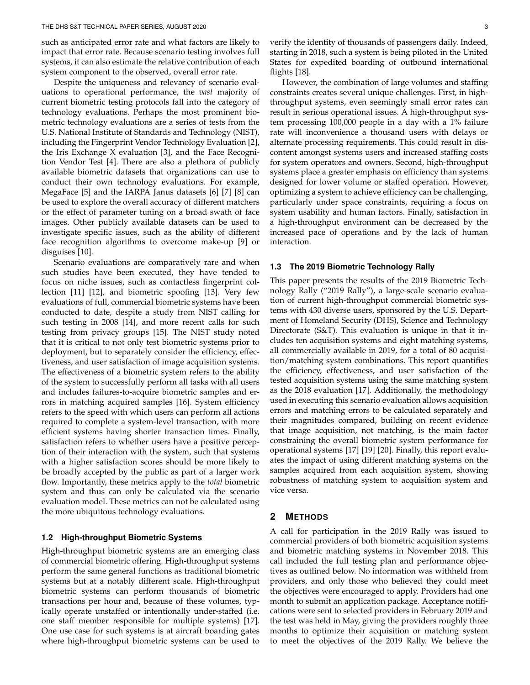such as anticipated error rate and what factors are likely to impact that error rate. Because scenario testing involves full systems, it can also estimate the relative contribution of each system component to the observed, overall error rate.

Despite the uniqueness and relevancy of scenario evaluations to operational performance, the *vast* majority of current biometric testing protocols fall into the category of technology evaluations. Perhaps the most prominent biometric technology evaluations are a series of tests from the U.S. National Institute of Standards and Technology (NIST), including the Fingerprint Vendor Technology Evaluation [2], the Iris Exchange X evaluation [3], and the Face Recognition Vendor Test [4]. There are also a plethora of publicly available biometric datasets that organizations can use to conduct their own technology evaluations. For example, MegaFace [5] and the IARPA Janus datasets [6] [7] [8] can be used to explore the overall accuracy of different matchers or the effect of parameter tuning on a broad swath of face images. Other publicly available datasets can be used to investigate specific issues, such as the ability of different face recognition algorithms to overcome make-up [9] or disguises [10].

Scenario evaluations are comparatively rare and when such studies have been executed, they have tended to focus on niche issues, such as contactless fngerprint collection [11] [12], and biometric spoofing [13]. Very few evaluations of full, commercial biometric systems have been conducted to date, despite a study from NIST calling for such testing in 2008 [14], and more recent calls for such testing from privacy groups [15]. The NIST study noted that it is critical to not only test biometric systems prior to deployment, but to separately consider the efficiency, effectiveness, and user satisfaction of image acquisition systems. The effectiveness of a biometric system refers to the ability of the system to successfully perform all tasks with all users and includes failures-to-acquire biometric samples and errors in matching acquired samples [16]. System efficiency refers to the speed with which users can perform all actions required to complete a system-level transaction, with more efficient systems having shorter transaction times. Finally, satisfaction refers to whether users have a positive perception of their interaction with the system, such that systems with a higher satisfaction scores should be more likely to be broadly accepted by the public as part of a larger work fow. Importantly, these metrics apply to the *total* biometric system and thus can only be calculated via the scenario evaluation model. These metrics can not be calculated using the more ubiquitous technology evaluations.

### **1.2 High-throughput Biometric Systems**

High-throughput biometric systems are an emerging class of commercial biometric offering. High-throughput systems perform the same general functions as traditional biometric systems but at a notably different scale. High-throughput biometric systems can perform thousands of biometric transactions per hour and, because of these volumes, typically operate unstaffed or intentionally under-staffed (i.e. one staff member responsible for multiple systems) [17]. One use case for such systems is at aircraft boarding gates where high-throughput biometric systems can be used to

verify the identity of thousands of passengers daily. Indeed, starting in 2018, such a system is being piloted in the United States for expedited boarding of outbound international fights [18].

However, the combination of large volumes and staffing constraints creates several unique challenges. First, in highthroughput systems, even seemingly small error rates can result in serious operational issues. A high-throughput system processing 100,000 people in a day with a 1% failure rate will inconvenience a thousand users with delays or alternate processing requirements. This could result in discontent amongst systems users and increased staffing costs for system operators and owners. Second, high-throughput systems place a greater emphasis on efficiency than systems designed for lower volume or staffed operation. However, optimizing a system to achieve efficiency can be challenging, particularly under space constraints, requiring a focus on system usability and human factors. Finally, satisfaction in a high-throughput environment can be decreased by the increased pace of operations and by the lack of human interaction.

#### **1.3 The 2019 Biometric Technology Rally**

This paper presents the results of the 2019 Biometric Technology Rally ("2019 Rally"), a large-scale scenario evaluation of current high-throughput commercial biometric systems with 430 diverse users, sponsored by the U.S. Department of Homeland Security (DHS), Science and Technology Directorate (S&T). This evaluation is unique in that it includes ten acquisition systems and eight matching systems, all commercially available in 2019, for a total of 80 acquisition/matching system combinations. This report quantifes the efficiency, effectiveness, and user satisfaction of the tested acquisition systems using the same matching system as the 2018 evaluation [17]. Additionally, the methodology used in executing this scenario evaluation allows acquisition errors and matching errors to be calculated separately and their magnitudes compared, building on recent evidence that image acquisition, not matching, is the main factor constraining the overall biometric system performance for operational systems [17] [19] [20]. Finally, this report evaluates the impact of using different matching systems on the samples acquired from each acquisition system, showing robustness of matching system to acquisition system and vice versa.

#### **2 METHODS**

A call for participation in the 2019 Rally was issued to commercial providers of both biometric acquisition systems and biometric matching systems in November 2018. This call included the full testing plan and performance objectives as outlined below. No information was withheld from providers, and only those who believed they could meet the objectives were encouraged to apply. Providers had one month to submit an application package. Acceptance notifcations were sent to selected providers in February 2019 and the test was held in May, giving the providers roughly three months to optimize their acquisition or matching system to meet the objectives of the 2019 Rally. We believe the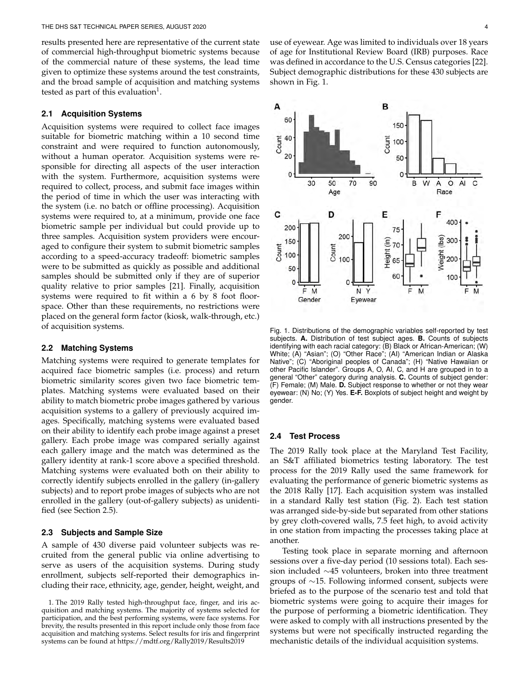results presented here are representative of the current state of commercial high-throughput biometric systems because of the commercial nature of these systems, the lead time given to optimize these systems around the test constraints, and the broad sample of acquisition and matching systems tested as part of this evaluation<sup>1</sup>.

#### **2.1 Acquisition Systems**

Acquisition systems were required to collect face images suitable for biometric matching within a 10 second time constraint and were required to function autonomously, without a human operator. Acquisition systems were responsible for directing all aspects of the user interaction with the system. Furthermore, acquisition systems were required to collect, process, and submit face images within the period of time in which the user was interacting with the system (i.e. no batch or offine processing). Acquisition systems were required to, at a minimum, provide one face biometric sample per individual but could provide up to three samples. Acquisition system providers were encouraged to confgure their system to submit biometric samples according to a speed-accuracy tradeoff: biometric samples were to be submitted as quickly as possible and additional samples should be submitted only if they are of superior quality relative to prior samples [21]. Finally, acquisition systems were required to fit within a 6 by 8 foot floorspace. Other than these requirements, no restrictions were placed on the general form factor (kiosk, walk-through, etc.) of acquisition systems.

#### **2.2 Matching Systems**

Matching systems were required to generate templates for acquired face biometric samples (i.e. process) and return biometric similarity scores given two face biometric templates. Matching systems were evaluated based on their ability to match biometric probe images gathered by various acquisition systems to a gallery of previously acquired images. Specifically, matching systems were evaluated based on their ability to identify each probe image against a preset gallery. Each probe image was compared serially against each gallery image and the match was determined as the gallery identity at rank-1 score above a specifed threshold. Matching systems were evaluated both on their ability to correctly identify subjects enrolled in the gallery (in-gallery subjects) and to report probe images of subjects who are not enrolled in the gallery (out-of-gallery subjects) as unidentified (see Section 2.5).

#### **2.3 Subjects and Sample Size**

A sample of 430 diverse paid volunteer subjects was recruited from the general public via online advertising to serve as users of the acquisition systems. During study enrollment, subjects self-reported their demographics including their race, ethnicity, age, gender, height, weight, and use of eyewear. Age was limited to individuals over 18 years of age for Institutional Review Board (IRB) purposes. Race was defned in accordance to the U.S. Census categories [22]. Subject demographic distributions for these 430 subjects are shown in Fig. 1.



Fig. 1. Distributions of the demographic variables self-reported by test subjects. **A.** Distribution of test subject ages. **B.** Counts of subjects identifying with each racial category: (B) Black or African-American; (W) White; (A) "Asian"; (O) "Other Race"; (AI) "American Indian or Alaska Native"; (C) "Aboriginal peoples of Canada"; (H) "Native Hawaiian or other Pacific Islander". Groups A, O, AI, C, and H are grouped in to a general "Other" category during analysis. **C.** Counts of subject gender: (F) Female; (M) Male. **D.** Subject response to whether or not they wear eyewear: (N) No; (Y) Yes. **E-F.** Boxplots of subject height and weight by gender.

#### **2.4 Test Process**

The 2019 Rally took place at the Maryland Test Facility, an S&T affliated biometrics testing laboratory. The test process for the 2019 Rally used the same framework for evaluating the performance of generic biometric systems as the 2018 Rally [17]. Each acquisition system was installed in a standard Rally test station (Fig. 2). Each test station was arranged side-by-side but separated from other stations by grey cloth-covered walls, 7.5 feet high, to avoid activity in one station from impacting the processes taking place at another.

Testing took place in separate morning and afternoon sessions over a five-day period (10 sessions total). Each session included ∼45 volunteers, broken into three treatment groups of ∼15. Following informed consent, subjects were briefed as to the purpose of the scenario test and told that biometric systems were going to acquire their images for the purpose of performing a biometric identification. They were asked to comply with all instructions presented by the systems but were not specifically instructed regarding the mechanistic details of the individual acquisition systems.

<sup>1.</sup> The 2019 Rally tested high-throughput face, fnger, and iris acquisition and matching systems. The majority of systems selected for participation, and the best performing systems, were face systems. For brevity, the results presented in this report include only those from face acquisition and matching systems. Select results for iris and fngerprint systems can be found at <https://mdtf.org/Rally2019/Results2019>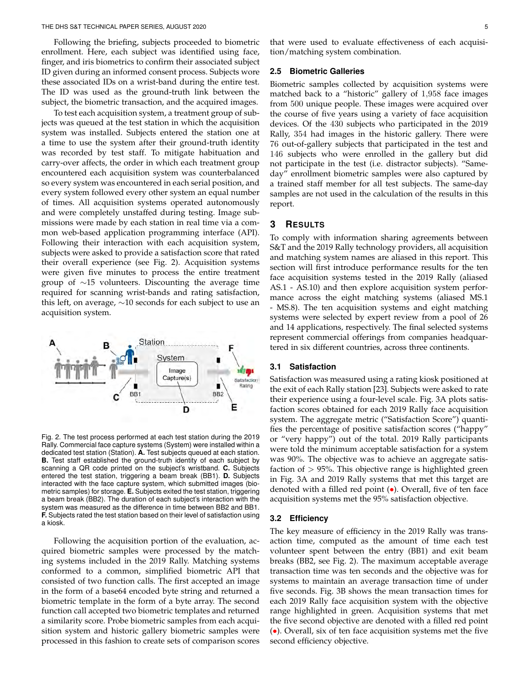Following the briefing, subjects proceeded to biometric enrollment. Here, each subject was identified using face, fnger, and iris biometrics to confrm their associated subject ID given during an informed consent process. Subjects wore these associated IDs on a wrist-band during the entire test. The ID was used as the ground-truth link between the subject, the biometric transaction, and the acquired images.

To test each acquisition system, a treatment group of subjects was queued at the test station in which the acquisition system was installed. Subjects entered the station one at a time to use the system after their ground-truth identity was recorded by test staff. To mitigate habituation and carry-over affects, the order in which each treatment group encountered each acquisition system was counterbalanced so every system was encountered in each serial position, and every system followed every other system an equal number of times. All acquisition systems operated autonomously and were completely unstaffed during testing. Image submissions were made by each station in real time via a common web-based application programming interface (API). Following their interaction with each acquisition system, subjects were asked to provide a satisfaction score that rated their overall experience (see Fig. 2). Acquisition systems were given five minutes to process the entire treatment group of ∼15 volunteers. Discounting the average time required for scanning wrist-bands and rating satisfaction, this left, on average,  $\sim$ 10 seconds for each subject to use an acquisition system.



Fig. 2. The test process performed at each test station during the 2019 Rally. Commercial face capture systems (System) were installed within a dedicated test station (Station). **A.** Test subjects queued at each station. **B.** Test staff established the ground-truth identity of each subject by scanning a QR code printed on the subject's wristband. **C.** Subjects entered the test station, triggering a beam break (BB1). **D.** Subjects interacted with the face capture system, which submitted images (biometric samples) for storage. **E.** Subjects exited the test station, triggering a beam break (BB2). The duration of each subject's interaction with the system was measured as the difference in time between BB2 and BB1. **F.** Subjects rated the test station based on their level of satisfaction using a kiosk.

Following the acquisition portion of the evaluation, acquired biometric samples were processed by the matching systems included in the 2019 Rally. Matching systems conformed to a common, simplifed biometric API that consisted of two function calls. The first accepted an image in the form of a base64 encoded byte string and returned a biometric template in the form of a byte array. The second function call accepted two biometric templates and returned a similarity score. Probe biometric samples from each acquisition system and historic gallery biometric samples were processed in this fashion to create sets of comparison scores

that were used to evaluate effectiveness of each acquisition/matching system combination.

#### **2.5 Biometric Galleries**

Biometric samples collected by acquisition systems were matched back to a "historic" gallery of 1,958 face images from 500 unique people. These images were acquired over the course of five years using a variety of face acquisition devices. Of the 430 subjects who participated in the 2019 Rally, 354 had images in the historic gallery. There were 76 out-of-gallery subjects that participated in the test and 146 subjects who were enrolled in the gallery but did not participate in the test (i.e. distractor subjects). "Sameday" enrollment biometric samples were also captured by a trained staff member for all test subjects. The same-day samples are not used in the calculation of the results in this report.

#### **3 RESULTS**

To comply with information sharing agreements between S&T and the 2019 Rally technology providers, all acquisition and matching system names are aliased in this report. This section will first introduce performance results for the ten face acquisition systems tested in the 2019 Rally (aliased AS.1 - AS.10) and then explore acquisition system performance across the eight matching systems (aliased MS.1 - MS.8). The ten acquisition systems and eight matching systems were selected by expert review from a pool of 26 and 14 applications, respectively. The final selected systems represent commercial offerings from companies headquartered in six different countries, across three continents.

#### **3.1 Satisfaction**

Satisfaction was measured using a rating kiosk positioned at the exit of each Rally station [23]. Subjects were asked to rate their experience using a four-level scale. Fig. 3A plots satisfaction scores obtained for each 2019 Rally face acquisition system. The aggregate metric ("Satisfaction Score") quantifies the percentage of positive satisfaction scores ("happy" or "very happy") out of the total. 2019 Rally participants were told the minimum acceptable satisfaction for a system was 90%. The objective was to achieve an aggregate satisfaction of  $> 95\%$ . This objective range is highlighted green in Fig. 3A and 2019 Rally systems that met this target are denoted with a filled red point (.). Overall, five of ten face acquisition systems met the 95% satisfaction objective.

#### **3.2 Efficiency**

The key measure of efficiency in the 2019 Rally was transaction time, computed as the amount of time each test volunteer spent between the entry (BB1) and exit beam breaks (BB2, see Fig. 2). The maximum acceptable average transaction time was ten seconds and the objective was for systems to maintain an average transaction time of under five seconds. Fig. 3B shows the mean transaction times for each 2019 Rally face acquisition system with the objective range highlighted in green. Acquisition systems that met the five second objective are denoted with a filled red point (•). Overall, six of ten face acquisition systems met the fve second efficiency objective.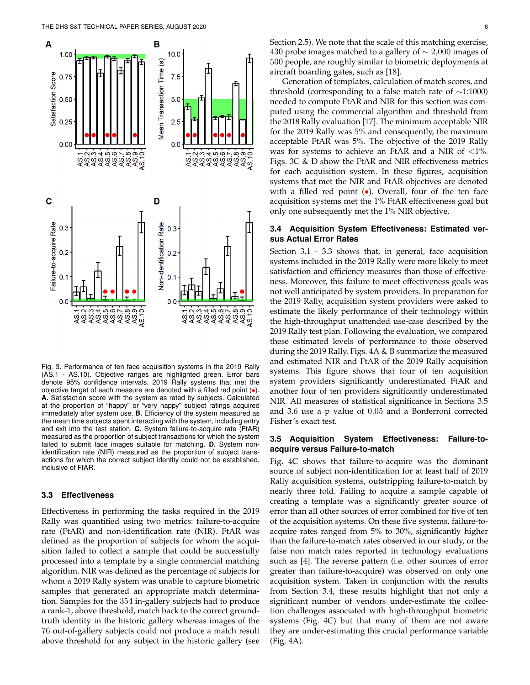

Fig. 3. Performance of ten face acquisition systems in the 2019 Rally (AS.1 - AS.10). Objective ranges are highlighted green. Error bars denote 95% confdence intervals. 2019 Rally systems that met the objective target of each measure are denoted with a flled red point (•). **A.** Satisfaction score with the system as rated by subjects. Calculated at the proportion of "happy" or "very happy" subject ratings acquired immediately after system use. **B.** Efficiency of the system measured as the mean time subjects spent interacting with the system, including entry and exit into the test station. **C.** System failure-to-acquire rate (FtAR) measured as the proportion of subject transactions for which the system failed to submit face images suitable for matching. **D.** System nonidentification rate (NIR) measured as the proportion of subject transactions for which the correct subject identity could not be established, inclusive of FtAR.

#### **3.3 Effectiveness**

Effectiveness in performing the tasks required in the 2019 Rally was quantifed using two metrics: failure-to-acquire rate (FtAR) and non-identifcation rate (NIR). FtAR was defined as the proportion of subjects for whom the acquisition failed to collect a sample that could be successfully processed into a template by a single commercial matching algorithm. NIR was defned as the percentage of subjects for whom a 2019 Rally system was unable to capture biometric samples that generated an appropriate match determination. Samples for the 354 in-gallery subjects had to produce a rank-1, above threshold, match back to the correct groundtruth identity in the historic gallery whereas images of the 76 out-of-gallery subjects could not produce a match result above threshold for any subject in the historic gallery (see

Section 2.5). We note that the scale of this matching exercise, 430 probe images matched to a gallery of  $\sim$  2,000 images of 500 people, are roughly similar to biometric deployments at aircraft boarding gates, such as [18].

Generation of templates, calculation of match scores, and threshold (corresponding to a false match rate of ∼1:1000) needed to compute FtAR and NIR for this section was computed using the commercial algorithm and threshold from the 2018 Rally evaluation [17]. The minimum acceptable NIR for the 2019 Rally was 5% and consequently, the maximum acceptable FtAR was 5%. The objective of the 2019 Rally was for systems to achieve an FtAR and a NIR of  $\langle 1\% \rangle$ . Figs. 3C & D show the FtAR and NIR effectiveness metrics for each acquisition system. In these figures, acquisition systems that met the NIR and FtAR objectives are denoted with a filled red point  $(\bullet)$ . Overall, four of the ten face acquisition systems met the 1% FtAR effectiveness goal but only one subsequently met the 1% NIR objective.

#### **3.4 Acquisition System Effectiveness: Estimated versus Actual Error Rates**

Section 3.1 - 3.3 shows that, in general, face acquisition systems included in the 2019 Rally were more likely to meet satisfaction and efficiency measures than those of effectiveness. Moreover, this failure to meet effectiveness goals was not well anticipated by system providers. In preparation for the 2019 Rally, acquisition system providers were asked to estimate the likely performance of their technology within the high-throughput unattended use-case described by the 2019 Rally test plan. Following the evaluation, we compared these estimated levels of performance to those observed during the 2019 Rally. Figs. 4A & B summarize the measured and estimated NIR and FtAR of the 2019 Rally acquisition systems. This figure shows that four of ten acquisition system providers significantly underestimated FtAR and another four of ten providers significantly underestimated NIR. All measures of statistical significance in Sections 3.5 and 3.6 use a p value of 0.05 and a Bonferroni corrected Fisher's exact test.

### **3.5 Acquisition System Effectiveness: Failure-toacquire versus Failure-to-match**

Fig. 4C shows that failure-to-acquire was the dominant source of subject non-identification for at least half of 2019 Rally acquisition systems, outstripping failure-to-match by nearly three fold. Failing to acquire a sample capable of creating a template was a signifcantly greater source of error than all other sources of error combined for five of ten of the acquisition systems. On these five systems, failure-toacquire rates ranged from 5% to 30%, signifcantly higher than the failure-to-match rates observed in our study, or the false non match rates reported in technology evaluations such as [4]. The reverse pattern (i.e. other sources of error greater than failure-to-acquire) was observed on only one acquisition system. Taken in conjunction with the results from Section 3.4, these results highlight that not only a significant number of vendors under-estimate the collection challenges associated with high-throughput biometric systems (Fig. 4C) but that many of them are not aware they are under-estimating this crucial performance variable (Fig. 4A).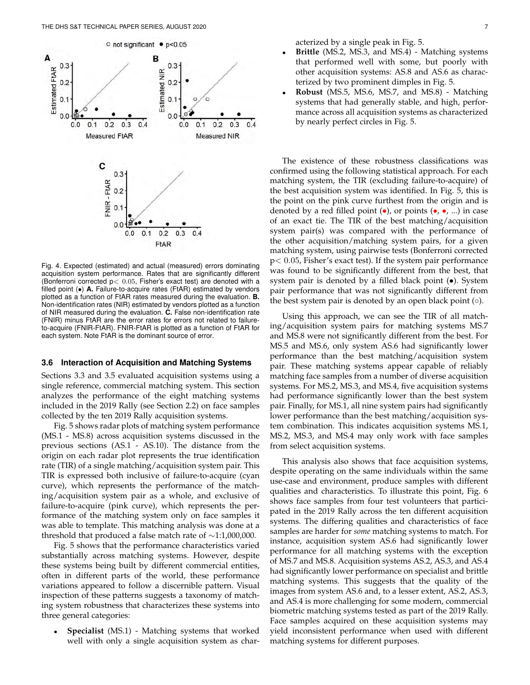

Fig. 4. Expected (estimated) and actual (measured) errors dominating acquisition system performance. Rates that are significantly different (Bonferroni corrected  $p < 0.05$ , Fisher's exact test) are denoted with a filled point (•) A. Failure-to-acquire rates (FtAR) estimated by vendors plotted as a function of FtAR rates measured during the evaluation. **B.**  Non-identifcation rates (NIR) estimated by vendors plotted as a function of NIR measured during the evaluation. C. False non-identification rate (FNIR) minus FtAR are the error rates for errors not related to failureto-acquire (FNIR-FtAR). FNIR-FtAR is plotted as a function of FtAR for each system. Note FtAR is the dominant source of error.

#### **3.6 Interaction of Acquisition and Matching Systems**

Sections 3.3 and 3.5 evaluated acquisition systems using a single reference, commercial matching system. This section analyzes the performance of the eight matching systems included in the 2019 Rally (see Section 2.2) on face samples collected by the ten 2019 Rally acquisition systems.

Fig. 5 shows radar plots of matching system performance (MS.1 - MS.8) across acquisition systems discussed in the previous sections (AS.1 - AS.10). The distance from the origin on each radar plot represents the true identifcation rate (TIR) of a single matching/acquisition system pair. This TIR is expressed both inclusive of failure-to-acquire (cyan curve), which represents the performance of the matching/acquisition system pair as a whole, and exclusive of failure-to-acquire (pink curve), which represents the performance of the matching system only on face samples it was able to template. This matching analysis was done at a threshold that produced a false match rate of ∼1:1,000,000.

Fig. 5 shows that the performance characteristics varied substantially across matching systems. However, despite these systems being built by different commercial entities, often in different parts of the world, these performance variations appeared to follow a discernible pattern. Visual inspection of these patterns suggests a taxonomy of matching system robustness that characterizes these systems into three general categories:

**Specialist** (MS.1) - Matching systems that worked well with only a single acquisition system as characterized by a single peak in Fig. 5.

- **Brittle** (MS.2, MS.3, and MS.4) Matching systems that performed well with some, but poorly with other acquisition systems: AS.8 and AS.6 as characterized by two prominent dimples in Fig. 5.
- **Robust** (MS.5, MS.6, MS.7, and MS.8) Matching systems that had generally stable, and high, performance across all acquisition systems as characterized by nearly perfect circles in Fig. 5.

The existence of these robustness classifications was confirmed using the following statistical approach. For each matching system, the TIR (excluding failure-to-acquire) of the best acquisition system was identifed. In Fig. 5, this is the point on the pink curve furthest from the origin and is denoted by a red filled point  $\left(\bullet\right)$ , or points  $\left(\bullet, \bullet, \ldots\right)$  in case of an exact tie. The TIR of the best matching/acquisition system pair(s) was compared with the performance of the other acquisition/matching system pairs, for a given matching system, using pairwise tests (Bonferroni corrected p< 0.05, Fisher's exact test). If the system pair performance was found to be signifcantly different from the best, that system pair is denoted by a filled black point ( $\bullet$ ). System pair performance that was not signifcantly different from the best system pair is denoted by an open black point  $( \circ )$ .

Using this approach, we can see the TIR of all matching/acquisition system pairs for matching systems MS.7 and MS.8 were not signifcantly different from the best. For MS.5 and MS.6, only system AS.6 had signifcantly lower performance than the best matching/acquisition system pair. These matching systems appear capable of reliably matching face samples from a number of diverse acquisition systems. For MS.2, MS.3, and MS.4, five acquisition systems had performance significantly lower than the best system pair. Finally, for MS.1, all nine system pairs had signifcantly lower performance than the best matching/acquisition system combination. This indicates acquisition systems MS.1, MS.2, MS.3, and MS.4 may only work with face samples from select acquisition systems.

This analysis also shows that face acquisition systems, despite operating on the same individuals within the same use-case and environment, produce samples with different qualities and characteristics. To illustrate this point, Fig. 6 shows face samples from four test volunteers that participated in the 2019 Rally across the ten different acquisition systems. The differing qualities and characteristics of face samples are harder for *some* matching systems to match. For instance, acquisition system AS.6 had significantly lower performance for all matching systems with the exception of MS.7 and MS.8. Acquisition systems AS.2, AS.3, and AS.4 had signifcantly lower performance on specialist and brittle matching systems. This suggests that the quality of the images from system AS.6 and, to a lesser extent, AS.2, AS.3, and AS.4 is more challenging for some modern, commercial biometric matching systems tested as part of the 2019 Rally. Face samples acquired on these acquisition systems may yield inconsistent performance when used with different matching systems for different purposes.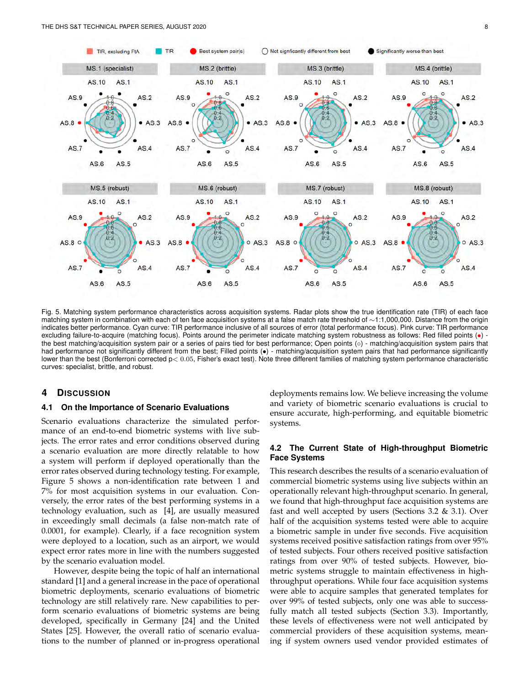

Fig. 5. Matching system performance characteristics across acquisition systems. Radar plots show the true identification rate (TIR) of each face matching system in combination with each of ten face acquisition systems at a false match rate threshold of ∼1:1,000,000. Distance from the origin indicates better performance. Cyan curve: TIR performance inclusive of all sources of error (total performance focus). Pink curve: TIR performance excluding failure-to-acquire (matching focus). Points around the perimeter indicate matching system robustness as follows: Red filled points (•) the best matching/acquisition system pair or a series of pairs tied for best performance; Open points (◦) - matching/acquisition system pairs that had performance not significantly different from the best; Filled points (•) - matching/acquisition system pairs that had performance significantly lower than the best (Bonferroni corrected p< 0.05, Fisher's exact test). Note three different families of matching system performance characteristic curves: specialist, brittle, and robust.

#### **4 DISCUSSION**

### **4.1 On the Importance of Scenario Evaluations**

Scenario evaluations characterize the simulated performance of an end-to-end biometric systems with live subjects. The error rates and error conditions observed during a scenario evaluation are more directly relatable to how a system will perform if deployed operationally than the error rates observed during technology testing. For example, Figure 5 shows a non-identifcation rate between 1 and 7% for most acquisition systems in our evaluation. Conversely, the error rates of the best performing systems in a technology evaluation, such as [4], are usually measured in exceedingly small decimals (a false non-match rate of 0.0001, for example). Clearly, if a face recognition system were deployed to a location, such as an airport, we would expect error rates more in line with the numbers suggested by the scenario evaluation model.

However, despite being the topic of half an international standard [1] and a general increase in the pace of operational biometric deployments, scenario evaluations of biometric technology are still relatively rare. New capabilities to perform scenario evaluations of biometric systems are being developed, specifically in Germany [24] and the United States [25]. However, the overall ratio of scenario evaluations to the number of planned or in-progress operational

deployments remains low. We believe increasing the volume and variety of biometric scenario evaluations is crucial to ensure accurate, high-performing, and equitable biometric systems.

#### **4.2 The Current State of High-throughput Biometric Face Systems**

This research describes the results of a scenario evaluation of commercial biometric systems using live subjects within an operationally relevant high-throughput scenario. In general, we found that high-throughput face acquisition systems are fast and well accepted by users (Sections 3.2 & 3.1). Over half of the acquisition systems tested were able to acquire a biometric sample in under five seconds. Five acquisition systems received positive satisfaction ratings from over 95% of tested subjects. Four others received positive satisfaction ratings from over 90% of tested subjects. However, biometric systems struggle to maintain effectiveness in highthroughput operations. While four face acquisition systems were able to acquire samples that generated templates for over 99% of tested subjects, only one was able to successfully match all tested subjects (Section 3.3). Importantly, these levels of effectiveness were not well anticipated by commercial providers of these acquisition systems, meaning if system owners used vendor provided estimates of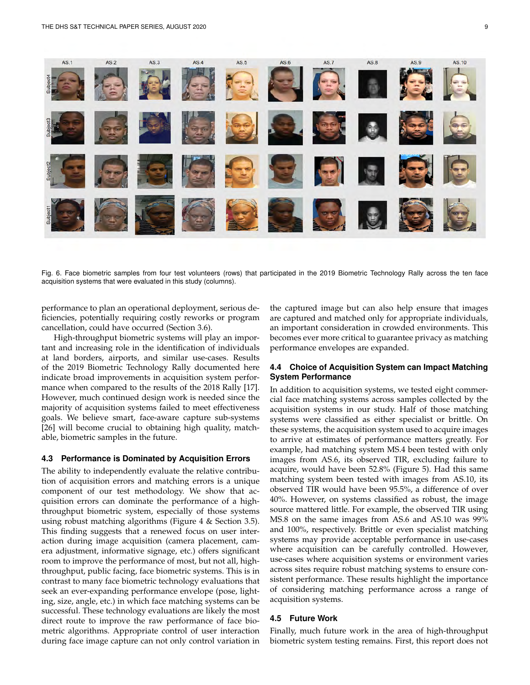

Fig. 6. Face biometric samples from four test volunteers (rows) that participated in the 2019 Biometric Technology Rally across the ten face acquisition systems that were evaluated in this study (columns).

performance to plan an operational deployment, serious deficiencies, potentially requiring costly reworks or program cancellation, could have occurred (Section 3.6).

High-throughput biometric systems will play an important and increasing role in the identifcation of individuals at land borders, airports, and similar use-cases. Results of the 2019 Biometric Technology Rally documented here indicate broad improvements in acquisition system performance when compared to the results of the 2018 Rally [17]. However, much continued design work is needed since the majority of acquisition systems failed to meet effectiveness goals. We believe smart, face-aware capture sub-systems [26] will become crucial to obtaining high quality, matchable, biometric samples in the future.

#### **4.3 Performance is Dominated by Acquisition Errors**

The ability to independently evaluate the relative contribution of acquisition errors and matching errors is a unique component of our test methodology. We show that acquisition errors can dominate the performance of a highthroughput biometric system, especially of those systems using robust matching algorithms (Figure 4 & Section 3.5). This finding suggests that a renewed focus on user interaction during image acquisition (camera placement, camera adjustment, informative signage, etc.) offers signifcant room to improve the performance of most, but not all, highthroughput, public facing, face biometric systems. This is in contrast to many face biometric technology evaluations that seek an ever-expanding performance envelope (pose, lighting, size, angle, etc.) in which face matching systems can be successful. These technology evaluations are likely the most direct route to improve the raw performance of face biometric algorithms. Appropriate control of user interaction during face image capture can not only control variation in

the captured image but can also help ensure that images are captured and matched only for appropriate individuals, an important consideration in crowded environments. This becomes ever more critical to guarantee privacy as matching performance envelopes are expanded.

#### **4.4 Choice of Acquisition System can Impact Matching System Performance**

In addition to acquisition systems, we tested eight commercial face matching systems across samples collected by the acquisition systems in our study. Half of those matching systems were classifed as either specialist or brittle. On these systems, the acquisition system used to acquire images to arrive at estimates of performance matters greatly. For example, had matching system MS.4 been tested with only images from AS.6, its observed TIR, excluding failure to acquire, would have been 52.8% (Figure 5). Had this same matching system been tested with images from AS.10, its observed TIR would have been 95.5%, a difference of over 40%. However, on systems classifed as robust, the image source mattered little. For example, the observed TIR using MS.8 on the same images from AS.6 and AS.10 was 99% and 100%, respectively. Brittle or even specialist matching systems may provide acceptable performance in use-cases where acquisition can be carefully controlled. However, use-cases where acquisition systems or environment varies across sites require robust matching systems to ensure consistent performance. These results highlight the importance of considering matching performance across a range of acquisition systems.

#### **4.5 Future Work**

Finally, much future work in the area of high-throughput biometric system testing remains. First, this report does not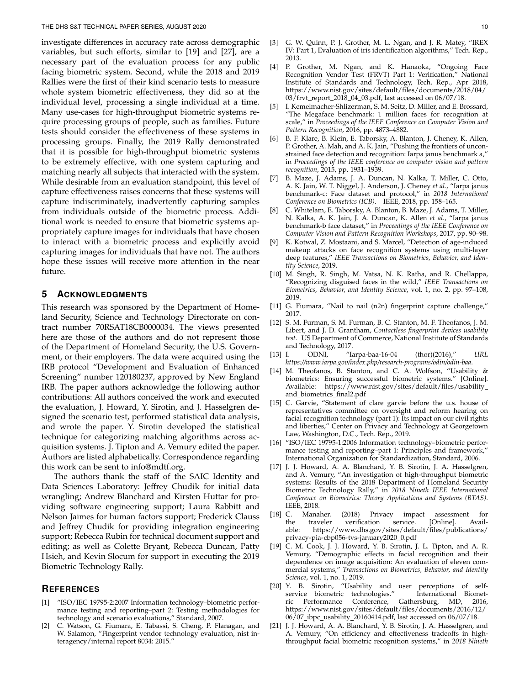investigate differences in accuracy rate across demographic variables, but such efforts, similar to [19] and [27], are a necessary part of the evaluation process for any public facing biometric system. Second, while the 2018 and 2019 Rallies were the first of their kind scenario tests to measure whole system biometric effectiveness, they did so at the individual level, processing a single individual at a time. Many use-cases for high-throughput biometric systems require processing groups of people, such as families. Future tests should consider the effectiveness of these systems in processing groups. Finally, the 2019 Rally demonstrated that it is possible for high-throughput biometric systems to be extremely effective, with one system capturing and matching nearly all subjects that interacted with the system. While desirable from an evaluation standpoint, this level of capture effectiveness raises concerns that these systems will capture indiscriminately, inadvertently capturing samples from individuals outside of the biometric process. Additional work is needed to ensure that biometric systems appropriately capture images for individuals that have chosen to interact with a biometric process and explicitly avoid capturing images for individuals that have not. The authors hope these issues will receive more attention in the near future.

#### **5 ACKNOWLEDGMENTS**

This research was sponsored by the Department of Homeland Security, Science and Technology Directorate on contract number 70RSAT18CB0000034. The views presented here are those of the authors and do not represent those of the Department of Homeland Security, the U.S. Government, or their employers. The data were acquired using the IRB protocol "Development and Evaluation of Enhanced Screening" number 120180237, approved by New England IRB. The paper authors acknowledge the following author contributions: All authors conceived the work and executed the evaluation, J. Howard, Y. Sirotin, and J. Hasselgren designed the scenario test, performed statistical data analysis, and wrote the paper. Y. Sirotin developed the statistical technique for categorizing matching algorithms across acquisition systems. J. Tipton and A. Vemury edited the paper. Authors are listed alphabetically. Correspondence regarding this work can be sent to [info@mdtf.org.](mailto:info@mdtf.org)

The authors thank the staff of the SAIC Identity and Data Sciences Laboratory: Jeffrey Chudik for initial data wrangling; Andrew Blanchard and Kirsten Huttar for providing software engineering support; Laura Rabbitt and Nelson Jaimes for human factors support; Frederick Clauss and Jeffrey Chudik for providing integration engineering support; Rebecca Rubin for technical document support and editing; as well as Colette Bryant, Rebecca Duncan, Patty Hsieh, and Kevin Slocum for support in executing the 2019 Biometric Technology Rally.

#### **REFERENCES**

- [1] "ISO/IEC 19795-2:2007 Information technology–biometric performance testing and reporting–part 2: Testing methodologies for technology and scenario evaluations," Standard, 2007.
- [2] C. Watson, G. Fiumara, E. Tabassi, S. Cheng, P. Flanagan, and W. Salamon, "Fingerprint vendor technology evaluation, nist interagency/internal report 8034: 2015."
- [3] G. W. Quinn, P. J. Grother, M. L. Ngan, and J. R. Matey, "IREX IV: Part 1, Evaluation of iris identifcation algorithms," Tech. Rep., 2013.
- [4] P. Grother, M. Ngan, and K. Hanaoka, "Ongoing Face Recognition Vendor Test (FRVT) Part 1: Verification," National Institute of Standards and Technology, Tech. Rep., Apr 2018, [https://www.nist.gov/sites/default/fles/documents/2018/04/](https://www.nist.gov/sites/default/files/documents/2018/04) 03/frvt\_report\_2018\_04\_03.pdf, last accessed on 06/07/18.
- I. Kemelmacher-Shlizerman, S. M. Seitz, D. Miller, and E. Brossard, "The Megaface benchmark: 1 million faces for recognition at scale," in *Proceedings of the IEEE Conference on Computer Vision and Pattern Recognition*, 2016, pp. 4873–4882.
- [6] B. F. Klare, B. Klein, E. Taborsky, A. Blanton, J. Cheney, K. Allen, P. Grother, A. Mah, and A. K. Jain, "Pushing the frontiers of unconstrained face detection and recognition: Iarpa janus benchmark a," in *Proceedings of the IEEE conference on computer vision and pattern recognition*, 2015, pp. 1931–1939.
- [7] B. Maze, J. Adams, J. A. Duncan, N. Kalka, T. Miller, C. Otto, A. K. Jain, W. T. Niggel, J. Anderson, J. Cheney *et al.*, "Iarpa janus benchmark-c: Face dataset and protocol," in *2018 International Conference on Biometrics (ICB)*. IEEE, 2018, pp. 158–165.
- [8] C. Whitelam, E. Taborsky, A. Blanton, B. Maze, J. Adams, T. Miller, N. Kalka, A. K. Jain, J. A. Duncan, K. Allen *et al.*, "Iarpa janus benchmark-b face dataset," in *Proceedings of the IEEE Conference on Computer Vision and Pattern Recognition Workshops*, 2017, pp. 90–98.
- [9] K. Kotwal, Z. Mostaani, and S. Marcel, "Detection of age-induced makeup attacks on face recognition systems using multi-layer deep features," *IEEE Transactions on Biometrics, Behavior, and Identity Science*, 2019.
- [10] M. Singh, R. Singh, M. Vatsa, N. K. Ratha, and R. Chellappa, "Recognizing disguised faces in the wild," *IEEE Transactions on Biometrics, Behavior, and Identity Science*, vol. 1, no. 2, pp. 97–108, 2019.
- [11] G. Fiumara, "Nail to nail (n2n) fingerprint capture challenge," 2017.
- [12] S. M. Furman, S. M. Furman, B. C. Stanton, M. F. Theofanos, J. M. Libert, and J. D. Grantham, *Contactless fngerprint devices usability test*. US Department of Commerce, National Institute of Standards and Technology, 2017.
- [13] I. ODNI, "Iarpa-baa-16-04 (thor)(2016)," *URL <https://www.iarpa.gov/index.php/research-programs/odin/odin-baa>*.
- [14] M. Theofanos, B. Stanton, and C. A. Wolfson, "Usability & biometrics: Ensuring successful biometric systems." [Online]. Available: https://www.nist.gov/sites/default/files/usability\_ and\_biometrics\_final2.pdf
- [15] C. Garvie, "Statement of clare garvie before the u.s. house of representatives committee on oversight and reform hearing on facial recognition technology (part 1): Its impact on our civil rights and liberties," Center on Privacy and Technology at Georgetown Law, Washington, D.C., Tech. Rep., 2019.
- [16] "ISO/IEC 19795-1:2006 Information technology–biometric performance testing and reporting–part 1: Principles and framework," International Organization for Standardization, Standard, 2006.
- [17] J. J. Howard, A. A. Blanchard, Y. B. Sirotin, J. A. Hasselgren, and A. Vemury, "An investigation of high-throughput biometric systems: Results of the 2018 Department of Homeland Security Biometric Technology Rally," in *2018 Nineth IEEE International Conference on Biometrics: Theory Applications and Systems (BTAS)*.
- IEEE, 2018.<br>[18] C. Manaher. C. Manaher. (2018) Privacy impact assessment for<br>the traveler verification service. [Online]. Availthe traveler verification<br>able: https://www.dhs.gov https://www.dhs.gov/sites/default/files/publications/ privacy-pia-cbp056-tvs-january2020\_0.pdf
- [19] C. M. Cook, J. J. Howard, Y. B. Sirotin, J. L. Tipton, and A. R. Vemury, "Demographic effects in facial recognition and their dependence on image acquisition: An evaluation of eleven commercial systems," *Transactions on Biometrics, Behavior, and Identity Science*, vol. 1, no. 1, 2019.
- [20] Y. B. Sirotin, "Usability and user perceptions of selfservice biometric technologies." ric Performance Conference, Gathersburg, MD, 2016, [https://www.nist.gov/sites/default/fles/documents/2016/12/](https://www.nist.gov/sites/default/files/documents/2016/12) 06/07\_ibpc\_usability\_20160414.pdf, last accessed on 06/07/18.
- [21] J. J. Howard, A. A. Blanchard, Y. B. Sirotin, J. A. Hasselgren, and A. Vemury, "On efficiency and effectiveness tradeoffs in highthroughput facial biometric recognition systems," in *2018 Nineth*